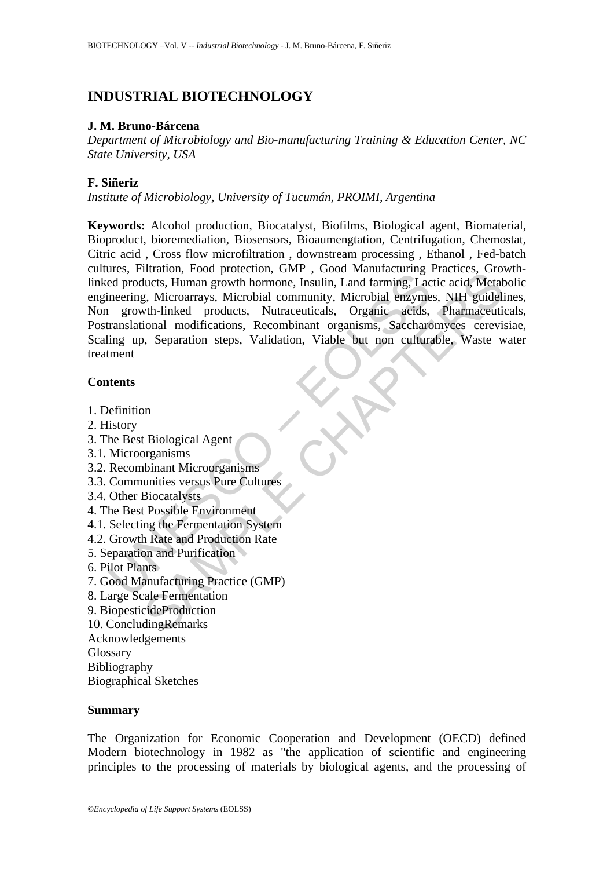# **INDUSTRIAL BIOTECHNOLOGY**

# **J. M. Bruno-Bárcena**

*Department of Microbiology and Bio-manufacturing Training & Education Center, NC State University, USA* 

# **F. Siñeriz**

*Institute of Microbiology, University of Tucumán, PROIMI, Argentina* 

The dealer and products, Human growth hormone, Insulin, Land farming, Lactor<br>ed products, Human growth hormone, Insulin, Land farming, Lactor<br>ineering, Microarrays, Microbial community, Microbial enzyme<br>intervalsational mo muation, 1000 protection, 1000 protection, 1000 manufacturing Practices, Human growth hormone, Insulin, Land farming, Lactic acid, Metal, Microbard, D. Microarrays, Microbial community, Microbial enzymes, NHI guidelistich-**Keywords:** Alcohol production, Biocatalyst, Biofilms, Biological agent, Biomaterial, Bioproduct, bioremediation, Biosensors, Bioaumengtation, Centrifugation, Chemostat, Citric acid , Cross flow microfiltration , downstream processing , Ethanol , Fed-batch cultures, Filtration, Food protection, GMP , Good Manufacturing Practices, Growthlinked products, Human growth hormone, Insulin, Land farming, Lactic acid, Metabolic engineering, Microarrays, Microbial community, Microbial enzymes, NIH guidelines, Non growth-linked products, Nutraceuticals, Organic acids, Pharmaceuticals, Postranslational modifications, Recombinant organisms, Saccharomyces cerevisiae, Scaling up, Separation steps, Validation, Viable but non culturable, Waste water treatment

# **Contents**

- 1. Definition
- 2. History
- 3. The Best Biological Agent
- 3.1. Microorganisms
- 3.2. Recombinant Microorganisms
- 3.3. Communities versus Pure Cultures
- 3.4. Other Biocatalysts
- 4. The Best Possible Environment
- 4.1. Selecting the Fermentation System
- 4.2. Growth Rate and Production Rate
- 5. Separation and Purification
- 6. Pilot Plants
- 7. Good Manufacturing Practice (GMP)
- 8. Large Scale Fermentation
- 9. BiopesticideProduction
- 10. ConcludingRemarks
- Acknowledgements
- Glossary
- Bibliography
- Biographical Sketches

# **Summary**

The Organization for Economic Cooperation and Development (OECD) defined Modern biotechnology in 1982 as "the application of scientific and engineering principles to the processing of materials by biological agents, and the processing of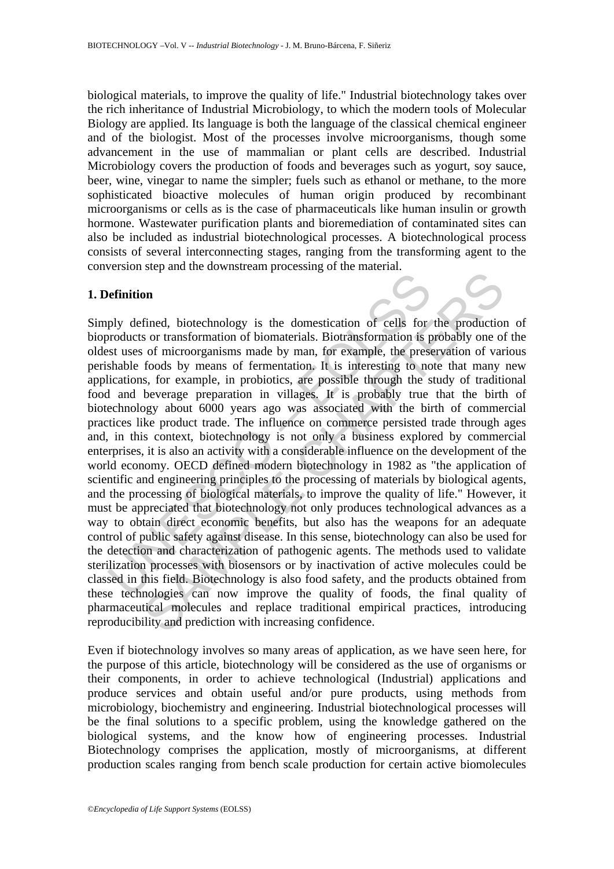biological materials, to improve the quality of life." Industrial biotechnology takes over the rich inheritance of Industrial Microbiology, to which the modern tools of Molecular Biology are applied. Its language is both the language of the classical chemical engineer and of the biologist. Most of the processes involve microorganisms, though some advancement in the use of mammalian or plant cells are described. Industrial Microbiology covers the production of foods and beverages such as yogurt, soy sauce, beer, wine, vinegar to name the simpler; fuels such as ethanol or methane, to the more sophisticated bioactive molecules of human origin produced by recombinant microorganisms or cells as is the case of pharmaceuticals like human insulin or growth hormone. Wastewater purification plants and bioremediation of contaminated sites can also be included as industrial biotechnological processes. A biotechnological process consists of several interconnecting stages, ranging from the transforming agent to the conversion step and the downstream processing of the material.

## **1. Definition**

**Perimition**<br>ply defined, biotechnology is the domestication of cells for<br>products or transformation of biomaterials. Biotransformation is pers<br>statuses of microorganisms made by man, for example, the press<br>shable foods by Fined, biotechnology is the domestication of cells for the production<br>on timed, biotechnology is the domestication of cells for the production<br>of of microorganisms made by man, for example, the preservation of var<br>foods by Simply defined, biotechnology is the domestication of cells for the production of bioproducts or transformation of biomaterials. Biotransformation is probably one of the oldest uses of microorganisms made by man, for example, the preservation of various perishable foods by means of fermentation. It is interesting to note that many new applications, for example, in probiotics, are possible through the study of traditional food and beverage preparation in villages. It is probably true that the birth of biotechnology about 6000 years ago was associated with the birth of commercial practices like product trade. The influence on commerce persisted trade through ages and, in this context, biotechnology is not only a business explored by commercial enterprises, it is also an activity with a considerable influence on the development of the world economy. OECD defined modern biotechnology in 1982 as "the application of scientific and engineering principles to the processing of materials by biological agents, and the processing of biological materials, to improve the quality of life." However, it must be appreciated that biotechnology not only produces technological advances as a way to obtain direct economic benefits, but also has the weapons for an adequate control of public safety against disease. In this sense, biotechnology can also be used for the detection and characterization of pathogenic agents. The methods used to validate sterilization processes with biosensors or by inactivation of active molecules could be classed in this field. Biotechnology is also food safety, and the products obtained from these technologies can now improve the quality of foods, the final quality of pharmaceutical molecules and replace traditional empirical practices, introducing reproducibility and prediction with increasing confidence.

Even if biotechnology involves so many areas of application, as we have seen here, for the purpose of this article, biotechnology will be considered as the use of organisms or their components, in order to achieve technological (Industrial) applications and produce services and obtain useful and/or pure products, using methods from microbiology, biochemistry and engineering. Industrial biotechnological processes will be the final solutions to a specific problem, using the knowledge gathered on the biological systems, and the know how of engineering processes. Industrial Biotechnology comprises the application, mostly of microorganisms, at different production scales ranging from bench scale production for certain active biomolecules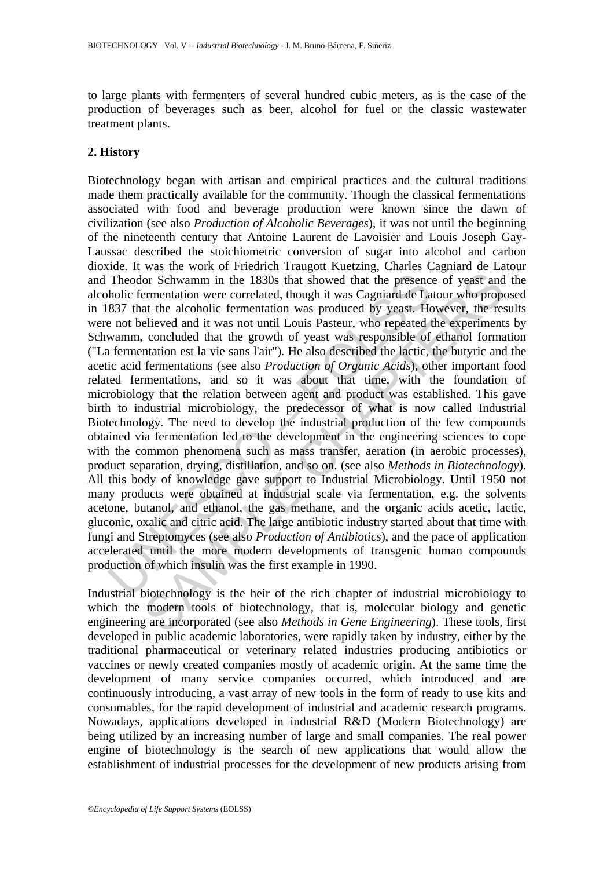to large plants with fermenters of several hundred cubic meters, as is the case of the production of beverages such as beer, alcohol for fuel or the classic wastewater treatment plants.

# **2. History**

Theodor Schwamm in the 1830s that showed that the presence holic fermentation were correlated, though it was Cagniard de La 837 that the alcoholic fermentation was produced by yeast. He not believed and it was not until Lo or Schwamm in the 1830s that showed that the presence of yeast and<br>ermentation were correlated, though it was Cagniard de Latour who propor<br>elieved and it was not until Louis Pasteur, who repeated the experiment<br>at the alc Biotechnology began with artisan and empirical practices and the cultural traditions made them practically available for the community. Though the classical fermentations associated with food and beverage production were known since the dawn of civilization (see also *Production of Alcoholic Beverages*), it was not until the beginning of the nineteenth century that Antoine Laurent de Lavoisier and Louis Joseph Gay-Laussac described the stoichiometric conversion of sugar into alcohol and carbon dioxide. It was the work of Friedrich Traugott Kuetzing, Charles Cagniard de Latour and Theodor Schwamm in the 1830s that showed that the presence of yeast and the alcoholic fermentation were correlated, though it was Cagniard de Latour who proposed in 1837 that the alcoholic fermentation was produced by yeast. However, the results were not believed and it was not until Louis Pasteur, who repeated the experiments by Schwamm, concluded that the growth of yeast was responsible of ethanol formation ("La fermentation est la vie sans l'air"). He also described the lactic, the butyric and the acetic acid fermentations (see also *Production of Organic Acids*), other important food related fermentations, and so it was about that time, with the foundation of microbiology that the relation between agent and product was established. This gave birth to industrial microbiology, the predecessor of what is now called Industrial Biotechnology. The need to develop the industrial production of the few compounds obtained via fermentation led to the development in the engineering sciences to cope with the common phenomena such as mass transfer, aeration (in aerobic processes), product separation, drying, distillation, and so on. (see also *Methods in Biotechnology*). All this body of knowledge gave support to Industrial Microbiology. Until 1950 not many products were obtained at industrial scale via fermentation, e.g. the solvents acetone, butanol, and ethanol, the gas methane, and the organic acids acetic, lactic, gluconic, oxalic and citric acid. The large antibiotic industry started about that time with fungi and Streptomyces (see also *Production of Antibiotics*), and the pace of application accelerated until the more modern developments of transgenic human compounds production of which insulin was the first example in 1990.

Industrial biotechnology is the heir of the rich chapter of industrial microbiology to which the modern tools of biotechnology, that is, molecular biology and genetic engineering are incorporated (see also *Methods in Gene Engineering*). These tools, first developed in public academic laboratories, were rapidly taken by industry, either by the traditional pharmaceutical or veterinary related industries producing antibiotics or vaccines or newly created companies mostly of academic origin. At the same time the development of many service companies occurred, which introduced and are continuously introducing, a vast array of new tools in the form of ready to use kits and consumables, for the rapid development of industrial and academic research programs. Nowadays, applications developed in industrial R&D (Modern Biotechnology) are being utilized by an increasing number of large and small companies. The real power engine of biotechnology is the search of new applications that would allow the establishment of industrial processes for the development of new products arising from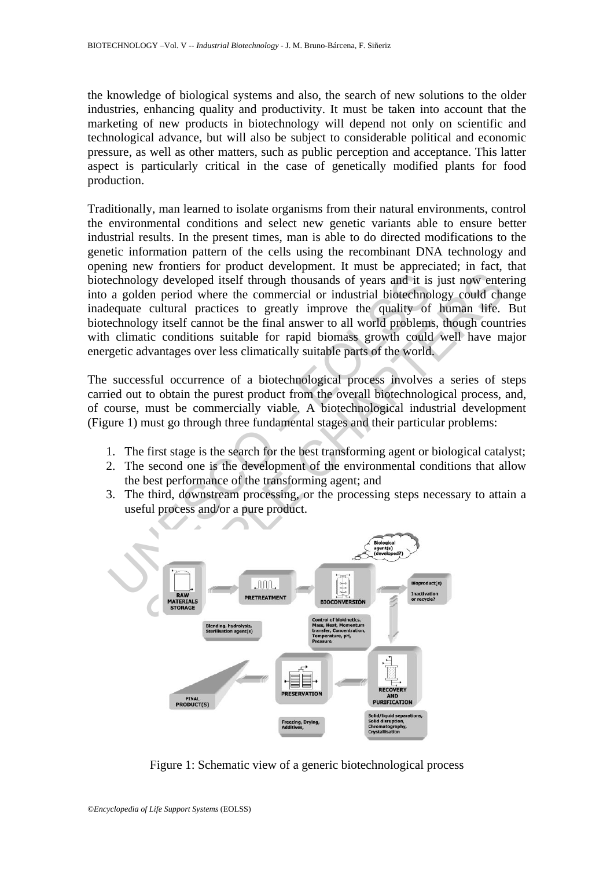the knowledge of biological systems and also, the search of new solutions to the older industries, enhancing quality and productivity. It must be taken into account that the marketing of new products in biotechnology will depend not only on scientific and technological advance, but will also be subject to considerable political and economic pressure, as well as other matters, such as public perception and acceptance. This latter aspect is particularly critical in the case of genetically modified plants for food production.

echnology developed itself through thousands of years and it is<br>a golden period where the commercial or industrial biotechno<br>lequate cultural practices to greatly improve the quality of<br>echnology itself cannot be the final Traditionally, man learned to isolate organisms from their natural environments, control the environmental conditions and select new genetic variants able to ensure better industrial results. In the present times, man is able to do directed modifications to the genetic information pattern of the cells using the recombinant DNA technology and opening new frontiers for product development. It must be appreciated; in fact, that biotechnology developed itself through thousands of years and it is just now entering into a golden period where the commercial or industrial biotechnology could change inadequate cultural practices to greatly improve the quality of human life. But biotechnology itself cannot be the final answer to all world problems, though countries with climatic conditions suitable for rapid biomass growth could well have major energetic advantages over less climatically suitable parts of the world.

The successful occurrence of a biotechnological process involves a series of steps carried out to obtain the purest product from the overall biotechnological process, and, of course, must be commercially viable. A biotechnological industrial development (Figure 1) must go through three fundamental stages and their particular problems:

- 1. The first stage is the search for the best transforming agent or biological catalyst;
- 2. The second one is the development of the environmental conditions that allow the best performance of the transforming agent; and
- 3. The third, downstream processing, or the processing steps necessary to attain a useful process and/or a pure product.



Figure 1: Schematic view of a generic biotechnological process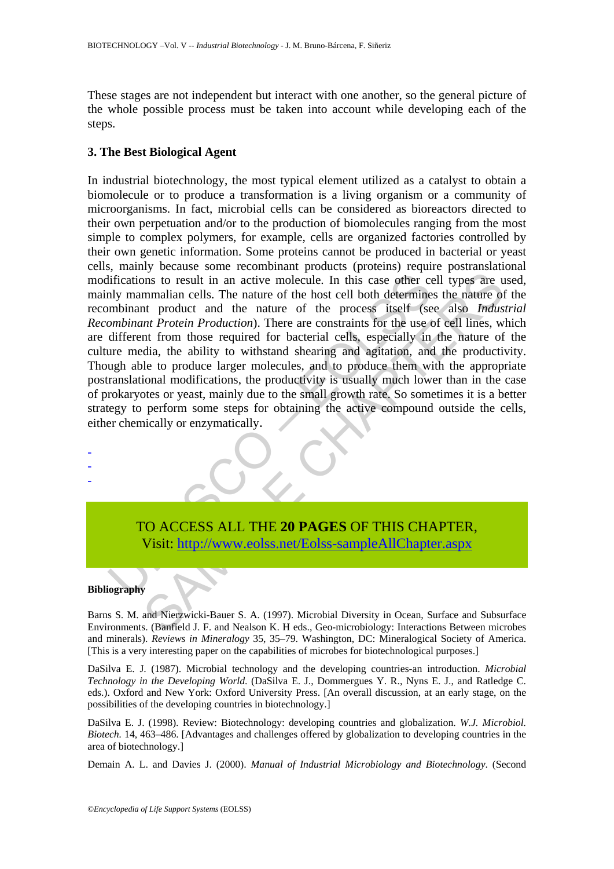These stages are not independent but interact with one another, so the general picture of the whole possible process must be taken into account while developing each of the steps.

# **3. The Best Biological Agent**

diffications to result in an active molecule. In this case ofter comparently mammalian cells. The nature of the host cell both determine molecular production). There are constraints for the use of the more molecular *Produ* The matter of the nature molecule. In this case of<br>the rell types are unmalian cells. The nature of the host cell both determines the nature of<br>the roduct and the nature of the host cell both determines the nature of<br>the p In industrial biotechnology, the most typical element utilized as a catalyst to obtain a biomolecule or to produce a transformation is a living organism or a community of microorganisms. In fact, microbial cells can be considered as bioreactors directed to their own perpetuation and/or to the production of biomolecules ranging from the most simple to complex polymers, for example, cells are organized factories controlled by their own genetic information. Some proteins cannot be produced in bacterial or yeast cells, mainly because some recombinant products (proteins) require postranslational modifications to result in an active molecule. In this case other cell types are used, mainly mammalian cells. The nature of the host cell both determines the nature of the recombinant product and the nature of the process itself (see also *Industrial Recombinant Protein Production*). There are constraints for the use of cell lines, which are different from those required for bacterial cells, especially in the nature of the culture media, the ability to withstand shearing and agitation, and the productivity. Though able to produce larger molecules, and to produce them with the appropriate postranslational modifications, the productivity is usually much lower than in the case of prokaryotes or yeast, mainly due to the small growth rate. So sometimes it is a better strategy to perform some steps for obtaining the active compound outside the cells, either chemically or enzymatically.

TO ACCESS ALL THE **20 PAGES** OF THIS CHAPTER, Visit: http://www.eolss.net/Eolss-sampleAllChapter.aspx

### **Bibliography**

- - -

Barns S. M. and Nierzwicki-Bauer S. A. (1997). Microbial Diversity in Ocean, Surface and Subsurface Environments. (Banfield J. F. and Nealson K. H eds., Geo-microbiology: Interactions Between microbes and minerals). *Reviews in Mineralogy* 35, 35–79. Washington, DC: Mineralogical Society of America. [This is a very interesting paper on the capabilities of microbes for biotechnological purposes.]

DaSilva E. J. (1987). Microbial technology and the developing countries-an introduction. *Microbial Technology in the Developing World*. (DaSilva E. J., Dommergues Y. R., Nyns E. J., and Ratledge C. eds.). Oxford and New York: Oxford University Press. [An overall discussion, at an early stage, on the possibilities of the developing countries in biotechnology.]

DaSilva E. J. (1998). Review: Biotechnology: developing countries and globalization. *W.J. Microbiol. Biotech.* 14, 463–486. [Advantages and challenges offered by globalization to developing countries in the area of biotechnology.]

Demain A. L. and Davies J. (2000). *Manual of Industrial Microbiology and Biotechnology*. (Second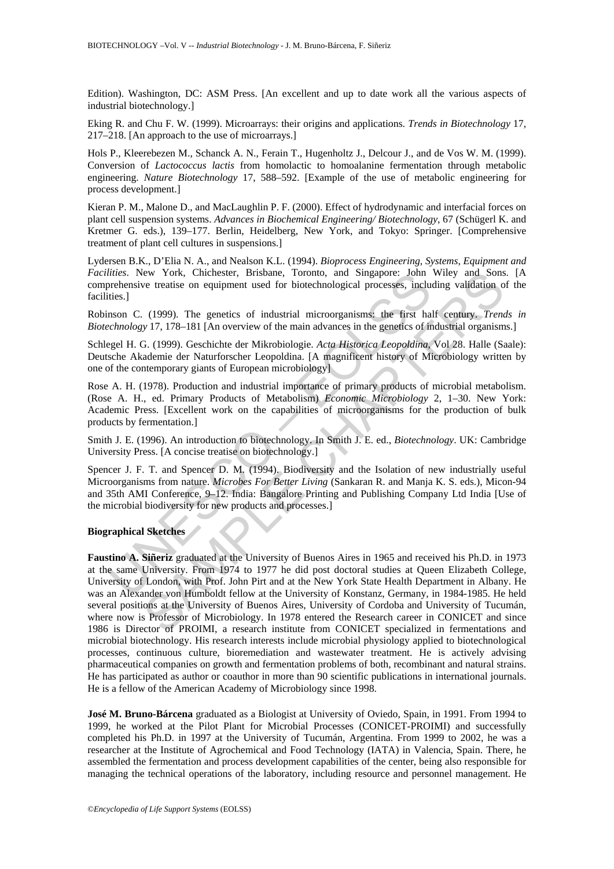Edition). Washington, DC: ASM Press. [An excellent and up to date work all the various aspects of industrial biotechnology.]

Eking R. and Chu F. W. (1999). Microarrays: their origins and applications. *Trends in Biotechnology* 17, 217–218. [An approach to the use of microarrays.]

Hols P., Kleerebezen M., Schanck A. N., Ferain T., Hugenholtz J., Delcour J., and de Vos W. M. (1999). Conversion of *Lactococcus lactis* from homolactic to homoalanine fermentation through metabolic engineering. *Nature Biotechnology* 17, 588–592. [Example of the use of metabolic engineering for process development.]

Kieran P. M., Malone D., and MacLaughlin P. F. (2000). Effect of hydrodynamic and interfacial forces on plant cell suspension systems. *Advances in Biochemical Engineering/ Biotechnology*, 67 (Schügerl K. and Kretmer G. eds.), 139–177. Berlin, Heidelberg, New York, and Tokyo: Springer. [Comprehensive treatment of plant cell cultures in suspensions.]

Lydersen B.K., D'Elia N. A., and Nealson K.L. (1994). *Bioprocess Engineering, Systems, Equipment and Facilities*. New York, Chichester, Brisbane, Toronto, and Singapore: John Wiley and Sons. [A comprehensive treatise on equipment used for biotechnological processes, including validation of the facilities.]

Robinson C. (1999). The genetics of industrial microorganisms: the first half century. *Trends in Biotechnology* 17, 178–181 [An overview of the main advances in the genetics of industrial organisms.]

Schlegel H. G. (1999). Geschichte der Mikrobiologie. *Acta Historica Leopoldina*, Vol 28. Halle (Saale): Deutsche Akademie der Naturforscher Leopoldina. [A magnificent history of Microbiology written by one of the contemporary giants of European microbiology]

Rose A. H. (1978). Production and industrial importance of primary products of microbial metabolism. (Rose A. H., ed. Primary Products of Metabolism) *Economic Microbiology* 2, 1–30. New York: Academic Press. [Excellent work on the capabilities of microorganisms for the production of bulk products by fermentation.]

Smith J. E. (1996). An introduction to biotechnology. In Smith J. E. ed., *Biotechnology*. UK: Cambridge University Press. [A concise treatise on biotechnology.]

titues. New York, Chichester, Brisbane, Toronto, and Singapore: John<br>titues. New York, Chichester, Brisbane, Toronto, and Singapore: John<br>rochesive treatise on equipment used for biotechnological processes, includes<br>itis.] Spencer J. F. T. and Spencer D. M. (1994). Biodiversity and the Isolation of new industrially useful Microorganisms from nature. *Microbes For Better Living* (Sankaran R. and Manja K. S. eds.), Micon-94 and 35th AMI Conference, 9–12. India: Bangalore Printing and Publishing Company Ltd India [Use of the microbial biodiversity for new products and processes.]

#### **Biographical Sketches**

For York, Chichester, Brisbane, Toronto, and Singapore: John Wiley and Sons<br>
ve treatise on equipment used for biotechnological processes, including validation o<br>
(1999). The genetics of industrial microorganisms: the firs **Faustino A. Siñeriz** graduated at the University of Buenos Aires in 1965 and received his Ph.D. in 1973 at the same University. From 1974 to 1977 he did post doctoral studies at Queen Elizabeth College, University of London, with Prof. John Pirt and at the New York State Health Department in Albany. He was an Alexander von Humboldt fellow at the University of Konstanz, Germany, in 1984-1985. He held several positions at the University of Buenos Aires, University of Cordoba and University of Tucumán, where now is Professor of Microbiology. In 1978 entered the Research career in CONICET and since 1986 is Director of PROIMI, a research institute from CONICET specialized in fermentations and microbial biotechnology. His research interests include microbial physiology applied to biotechnological processes, continuous culture, bioremediation and wastewater treatment. He is actively advising pharmaceutical companies on growth and fermentation problems of both, recombinant and natural strains. He has participated as author or coauthor in more than 90 scientific publications in international journals. He is a fellow of the American Academy of Microbiology since 1998.

**José M. Bruno-Bárcena** graduated as a Biologist at University of Oviedo, Spain, in 1991. From 1994 to 1999, he worked at the Pilot Plant for Microbial Processes (CONICET-PROIMI) and successfully completed his Ph.D. in 1997 at the University of Tucumán, Argentina. From 1999 to 2002, he was a researcher at the Institute of Agrochemical and Food Technology (IATA) in Valencia, Spain. There, he assembled the fermentation and process development capabilities of the center, being also responsible for managing the technical operations of the laboratory, including resource and personnel management. He